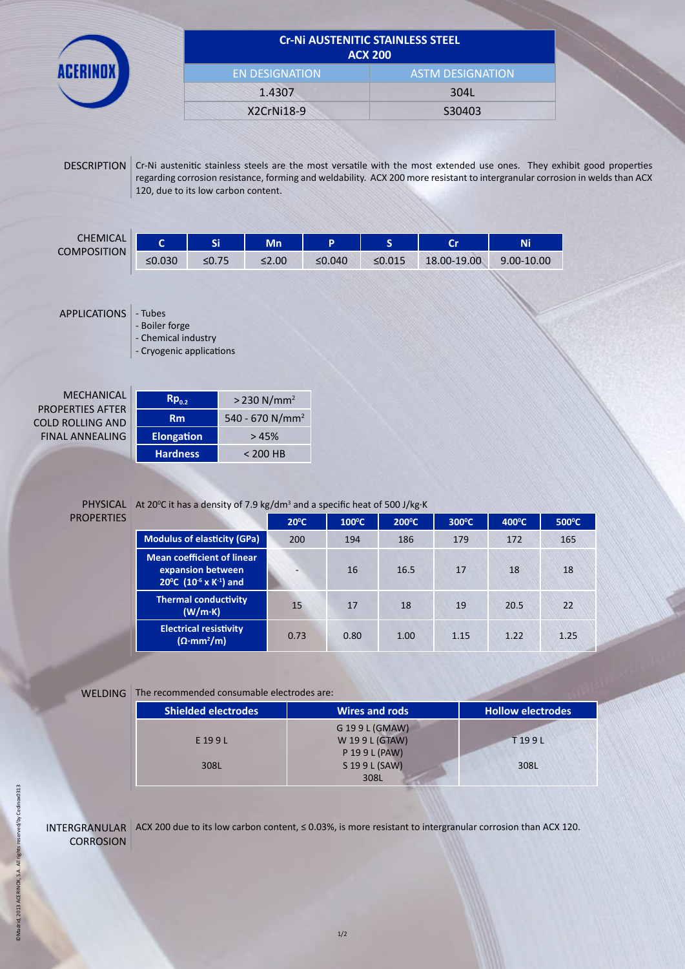| <b>ACX 200</b>        |                         |  |
|-----------------------|-------------------------|--|
| <b>EN DESIGNATION</b> | <b>ASTM DESIGNATION</b> |  |
| 1.4307                | 304L                    |  |
| X2CrNi18-9            | S30403                  |  |

DESCRIPTION Cr-Ni austenitic stainless steels are the most versatile with the most extended use ones. They exhibit good properties regarding corrosion resistance, forming and weldability. ACX 200 more resistant to intergranular corrosion in welds than ACX 120, due to its low carbon content.

| <b>CHEMICAL</b><br><b>COMPOSITION</b> |        | e. | Mn          |           | -      | $\sim$      | Ni         |
|---------------------------------------|--------|----|-------------|-----------|--------|-------------|------------|
|                                       | ≤0.030 |    | $\leq 2.00$ | ≤ $0.040$ | ≤0.015 | 18.00-19.00 | 9.00-10.00 |

APPLICATIONS - Tubes

- Boiler forge

- Chemical industry

- Cryogenic applications

| $Rp_{02}$         | $> 230$ N/mm <sup>2</sup>   |  |  |  |
|-------------------|-----------------------------|--|--|--|
| Rm                | 540 - 670 N/mm <sup>2</sup> |  |  |  |
| <b>Elongation</b> | >45%                        |  |  |  |
| <b>Hardness</b>   | $< 200$ HB                  |  |  |  |

## PROPERTIES

#### PHYSICAL At 20<sup>o</sup>C it has a density of 7.9 kg/dm<sup>3</sup> and a specific heat of 500 J/kg·K

|                                                                                                                       | $20^{\circ}$ C | $100^{\circ}$ C | $200^{\circ}$ C | $300^{\circ}$ C | $400^{\circ}$ C | 500°C |  |  |
|-----------------------------------------------------------------------------------------------------------------------|----------------|-----------------|-----------------|-----------------|-----------------|-------|--|--|
| <b>Modulus of elasticity (GPa)</b>                                                                                    | 200            | 194             | 186             | 179             | 172             | 165   |  |  |
| <b>Mean coefficient of linear</b><br>expansion between<br>20 <sup>o</sup> C (10 <sup>-6</sup> x K <sup>-1</sup> ) and |                | 16              | 16.5            | 17              | 18              | 18    |  |  |
| <b>Thermal conductivity</b><br>(W/m·K)                                                                                | 15             | 17              | 18              | 19              | 20.5            | 22    |  |  |
| <b>Electrical resistivity</b><br>$(\Omega \cdot mm^2/m)$                                                              | 0.73           | 0.80            | 1.00            | 1.15            | 1.22            | 1.25  |  |  |

#### WELDING The recommended consumable electrodes are:

| <b>Shielded electrodes</b> | <b>Wires and rods</b> | <b>Hollow electrodes</b> |  |  |
|----------------------------|-----------------------|--------------------------|--|--|
|                            | G 19 9 L (GMAW)       |                          |  |  |
| E 199L                     | W 199L (GTAW)         | T199L                    |  |  |
|                            | P 19 9 L (PAW)        |                          |  |  |
| 308L                       | S 19 9 L (SAW)        | 308L                     |  |  |
|                            | 308L                  |                          |  |  |

INTERGRANULAR ACX 200 due to its low carbon content, ≤ 0.03%, is more resistant to intergranular corrosion than ACX 120. **CORROSION**